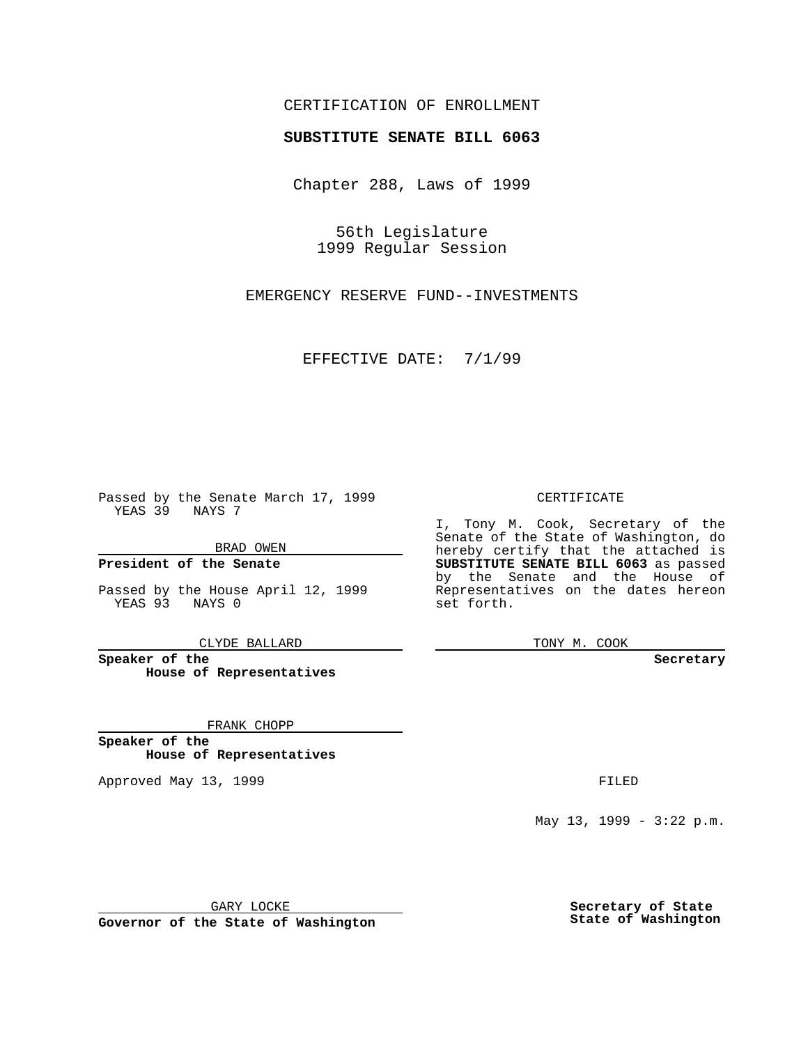## CERTIFICATION OF ENROLLMENT

## **SUBSTITUTE SENATE BILL 6063**

Chapter 288, Laws of 1999

56th Legislature 1999 Regular Session

EMERGENCY RESERVE FUND--INVESTMENTS

EFFECTIVE DATE: 7/1/99

Passed by the Senate March 17, 1999 YEAS 39 NAYS 7

BRAD OWEN

**President of the Senate**

Passed by the House April 12, 1999 YEAS 93 NAYS 0

CLYDE BALLARD

**Speaker of the House of Representatives**

FRANK CHOPP

**Speaker of the House of Representatives**

Approved May 13, 1999 **FILED** 

CERTIFICATE

I, Tony M. Cook, Secretary of the Senate of the State of Washington, do hereby certify that the attached is **SUBSTITUTE SENATE BILL 6063** as passed by the Senate and the House of Representatives on the dates hereon set forth.

TONY M. COOK

**Secretary**

May 13, 1999 - 3:22 p.m.

GARY LOCKE

**Governor of the State of Washington**

**Secretary of State State of Washington**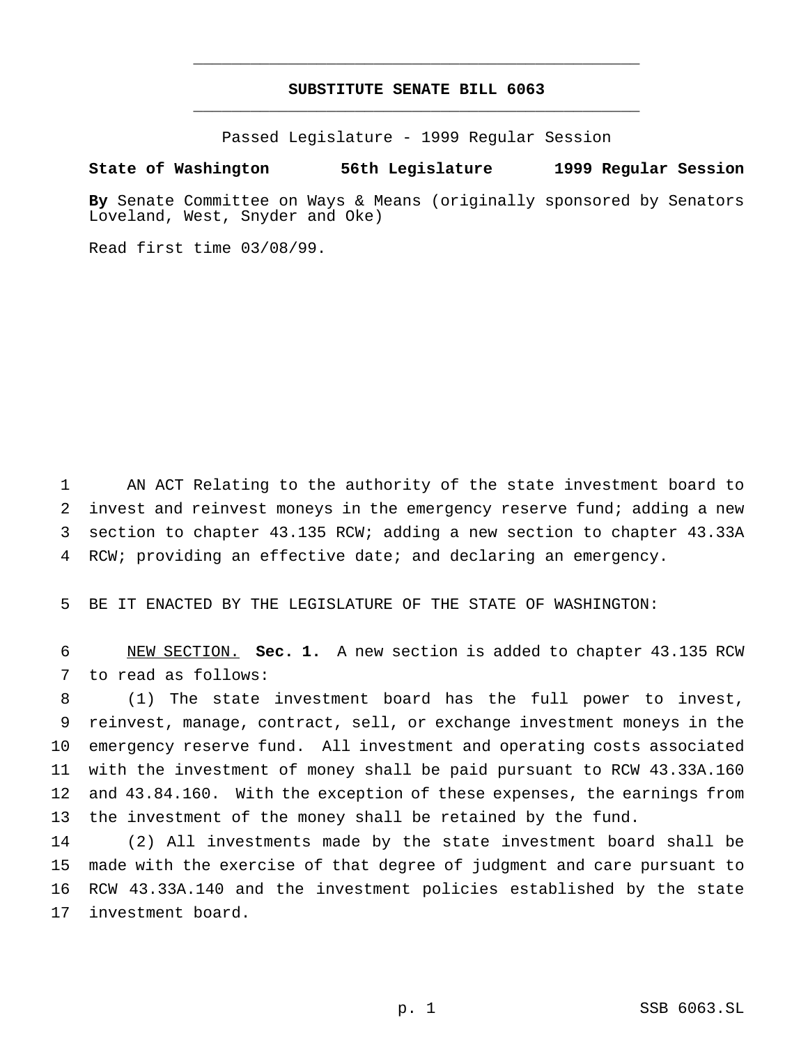## **SUBSTITUTE SENATE BILL 6063** \_\_\_\_\_\_\_\_\_\_\_\_\_\_\_\_\_\_\_\_\_\_\_\_\_\_\_\_\_\_\_\_\_\_\_\_\_\_\_\_\_\_\_\_\_\_\_

\_\_\_\_\_\_\_\_\_\_\_\_\_\_\_\_\_\_\_\_\_\_\_\_\_\_\_\_\_\_\_\_\_\_\_\_\_\_\_\_\_\_\_\_\_\_\_

Passed Legislature - 1999 Regular Session

## **State of Washington 56th Legislature 1999 Regular Session**

**By** Senate Committee on Ways & Means (originally sponsored by Senators Loveland, West, Snyder and Oke)

Read first time 03/08/99.

 AN ACT Relating to the authority of the state investment board to invest and reinvest moneys in the emergency reserve fund; adding a new section to chapter 43.135 RCW; adding a new section to chapter 43.33A RCW; providing an effective date; and declaring an emergency.

BE IT ENACTED BY THE LEGISLATURE OF THE STATE OF WASHINGTON:

 NEW SECTION. **Sec. 1.** A new section is added to chapter 43.135 RCW to read as follows:

 (1) The state investment board has the full power to invest, reinvest, manage, contract, sell, or exchange investment moneys in the emergency reserve fund. All investment and operating costs associated with the investment of money shall be paid pursuant to RCW 43.33A.160 and 43.84.160. With the exception of these expenses, the earnings from 13 the investment of the money shall be retained by the fund.

 (2) All investments made by the state investment board shall be made with the exercise of that degree of judgment and care pursuant to RCW 43.33A.140 and the investment policies established by the state investment board.